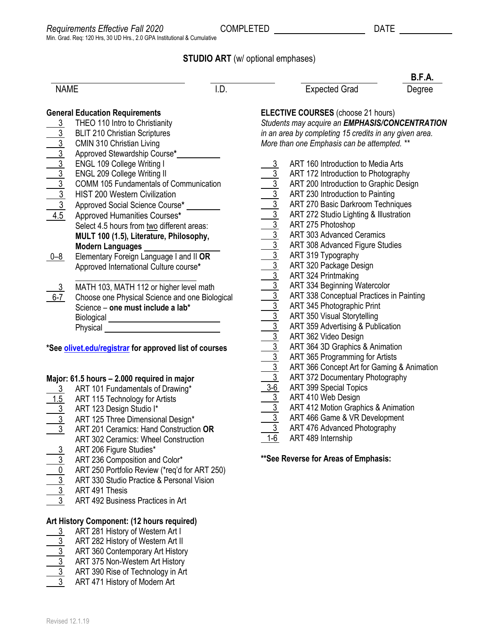**General Education Requirements** 

# **STUDIO ART** (w/ optional emphases)

**B.F.A.** NAME I.D. Expected Grad Degree

3 THEO 110 Intro to Christianity BLIT 210 Christian Scriptures 3 CMIN 310 Christian Living 3 Approved Stewardship Course**\*** 3 ENGL 109 College Writing I 3 ENGL 209 College Writing II 3 COMM 105 Fundamentals of Communication 3 HIST 200 Western Civilization 3 Approved Social Science Course**\*** 4.5 Approved Humanities Courses**\*** Select 4.5 hours from two different areas: **MULT 100 (1.5), Literature, Philosophy, Modern Languages** 0–8 Elementary Foreign Language I and II **OR** Approved International Culture course**\*** \_\_\_\_\_\_\_\_\_\_\_\_\_\_\_\_\_\_\_\_\_\_\_\_\_\_\_\_\_\_ MATH 103, MATH 112 or higher level math 6-7 Choose one Physical Science and one Biological Science – **one must include a lab\* Biological** Physical

**\*Se[e olivet.edu/registrar](https://www.olivet.edu/registrar) for approved list of courses**

#### **Major: 61.5 hours – 2.000 required in major**

- 3 ART 101 Fundamentals of Drawing\*
- 1.5 ART 115 Technology for Artists
- 3 ART 123 Design Studio I\*
- 3 ART 125 Three Dimensional Design\*
- 3 ART 201 Ceramics: Hand Construction **OR** ART 302 Ceramics: Wheel Construction
- 3 ART 206 Figure Studies\*
- 3 ART 236 Composition and Color\*
- 0 ART 250 Portfolio Review (\*req'd for ART 250)
- 3 ART 330 Studio Practice & Personal Vision
- 3 ART 491 Thesis
- 3 ART 492 Business Practices in Art

### **Art History Component: (12 hours required)**

- 3 ART 281 History of Western Art I
- 3 ART 282 History of Western Art II
- 3 ART 360 Contemporary Art History
- ART 375 Non-Western Art History
- 3 ART 390 Rise of Technology in Art
- ART 471 History of Modern Art

| <b>ELECTIVE COURSES</b> (choose 21 hours)              |
|--------------------------------------------------------|
| Students may acquire an EMPHASIS/CONCENTRATION         |
| in an area by completing 15 credits in any given area. |
| More than one Emphasis can be attempted. **            |

- 3 ART 160 Introduction to Media Arts
- ART 172 Introduction to Photography
- ART 200 Introduction to Graphic Design
- ART 230 Introduction to Painting
	- 3 ART 270 Basic Darkroom Techniques<br>3 ART 272 Studio Lighting & Illustration
- 3 ART 272 Studio Lighting & Illustration
- 3 ART 275 Photoshop
- 3 ART 303 Advanced Ceramics
- 3 ART 308 Advanced Figure Studies
- 3 ART 319 Typography
- 3 ART 320 Package Design<br>3 ART 324 Printmaking
- 3 ART 324 Printmaking
- 3 ART 334 Beginning Watercolor
- 3 ART 338 Conceptual Practices in Painting
- 3 ART 345 Photographic Print<br>3 ART 350 Visual Storytelling
- 3 ART 350 Visual Storytelling<br>3 ART 359 Advertising & Publ
- 3 ART 359 Advertising & Publication
- 3 ART 362 Video Design
- 3 ART 364 3D Graphics & Animation<br>3 ART 365 Programming for Artists
- 
- 3 ART 365 Programming for Artists<br>3 ART 366 Concept Art for Gaming 3 ART 366 Concept Art for Gaming & Animation
- 3 ART 372 Documentary Photography<br>3-6 ART 399 Special Topics
- ART 399 Special Topics
- 3 ART 410 Web Design
- ART 412 Motion Graphics & Animation
- 3 ART 466 Game & VR Development
- 3 ART 476 Advanced Photography
- 1-6 ART 489 Internship

#### **\*\*See Reverse for Areas of Emphasis:**

- 
-